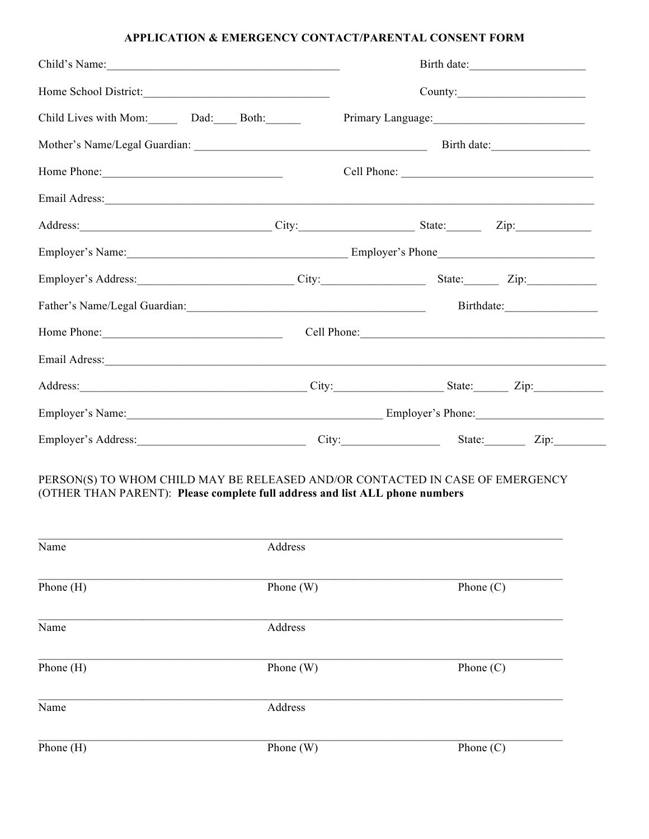## APPLICATION & EMERGENCY CONTACT/PARENTAL CONSENT FORM

| Child's Name:                                                                                                                                                         |             |                                               |             | Birth date: |  |  |
|-----------------------------------------------------------------------------------------------------------------------------------------------------------------------|-------------|-----------------------------------------------|-------------|-------------|--|--|
|                                                                                                                                                                       |             |                                               |             |             |  |  |
| Child Lives with Mom: Dad: Both:                                                                                                                                      |             | Primary Language:<br><u>Filmary Language:</u> |             |             |  |  |
|                                                                                                                                                                       |             |                                               |             |             |  |  |
|                                                                                                                                                                       |             |                                               |             |             |  |  |
| Email Adress: No. 1996. The Common Section 2014. The Common Section 2014.                                                                                             |             |                                               |             |             |  |  |
| Address: Zip: Zip: City: City: City: State: Zip: Zip:                                                                                                                 |             |                                               |             |             |  |  |
|                                                                                                                                                                       |             |                                               |             |             |  |  |
| Employer's Address: City: City: State: Zip: Zip:                                                                                                                      |             |                                               |             |             |  |  |
|                                                                                                                                                                       |             |                                               |             |             |  |  |
| Home Phone: Cell Phone: Cell Phone: Cell Phone:                                                                                                                       |             |                                               |             |             |  |  |
|                                                                                                                                                                       |             |                                               |             |             |  |  |
| Address: Zip: Zip: City: City: State: Zip: Zip:                                                                                                                       |             |                                               |             |             |  |  |
|                                                                                                                                                                       |             |                                               |             |             |  |  |
| Employer's Address: <u>City:</u> City: State: Zip: Zip:                                                                                                               |             |                                               |             |             |  |  |
| PERSON(S) TO WHOM CHILD MAY BE RELEASED AND/OR CONTACTED IN CASE OF EMERGENCY<br>(OTHER THAN PARENT): Please complete full address and list ALL phone numbers<br>Name | Address     |                                               |             |             |  |  |
|                                                                                                                                                                       |             |                                               |             |             |  |  |
| Phone (H)                                                                                                                                                             | Phone (W)   |                                               | Phone $(C)$ |             |  |  |
| Name                                                                                                                                                                  | Address     |                                               |             |             |  |  |
| Phone (H)                                                                                                                                                             | Phone $(W)$ |                                               | Phone $(C)$ |             |  |  |
| Name                                                                                                                                                                  | Address     |                                               |             |             |  |  |
| Phone (H)                                                                                                                                                             | Phone (W)   |                                               | Phone $(C)$ |             |  |  |